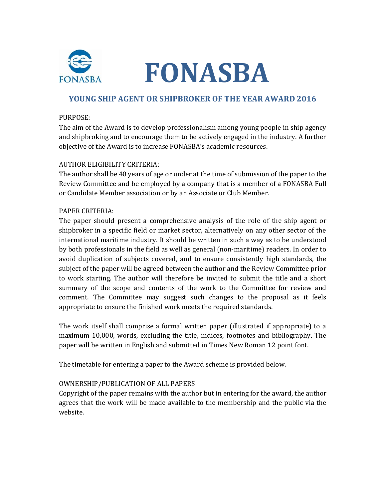

# **FONASBA**

# **YOUNG SHIP AGENT OR SHIPBROKER OF THE YEAR AWARD 2016**

#### PURPOSE:

The aim of the Award is to develop professionalism among young people in ship agency and shipbroking and to encourage them to be actively engaged in the industry. A further objective of the Award is to increase FONASBA's academic resources.

#### AUTHOR ELIGIBILITY CRITERIA:

The author shall be 40 years of age or under at the time of submission of the paper to the Review Committee and be employed by a company that is a member of a FONASBA Full or Candidate Member association or by an Associate or Club Member.

#### PAPER CRITERIA:

The paper should present a comprehensive analysis of the role of the ship agent or shipbroker in a specific field or market sector, alternatively on any other sector of the international maritime industry. It should be written in such a way as to be understood by both professionals in the field as well as general (non-maritime) readers. In order to avoid duplication of subjects covered, and to ensure consistently high standards, the subject of the paper will be agreed between the author and the Review Committee prior to work starting. The author will therefore be invited to submit the title and a short summary of the scope and contents of the work to the Committee for review and comment. The Committee may suggest such changes to the proposal as it feels appropriate to ensure the finished work meets the required standards.

The work itself shall comprise a formal written paper (illustrated if appropriate) to a maximum 10,000, words, excluding the title, indices, footnotes and bibliography. The paper will be written in English and submitted in Times New Roman 12 point font.

The timetable for entering a paper to the Award scheme is provided below.

## OWNERSHIP/PUBLICATION OF ALL PAPERS

Copyright of the paper remains with the author but in entering for the award, the author agrees that the work will be made available to the membership and the public via the website.